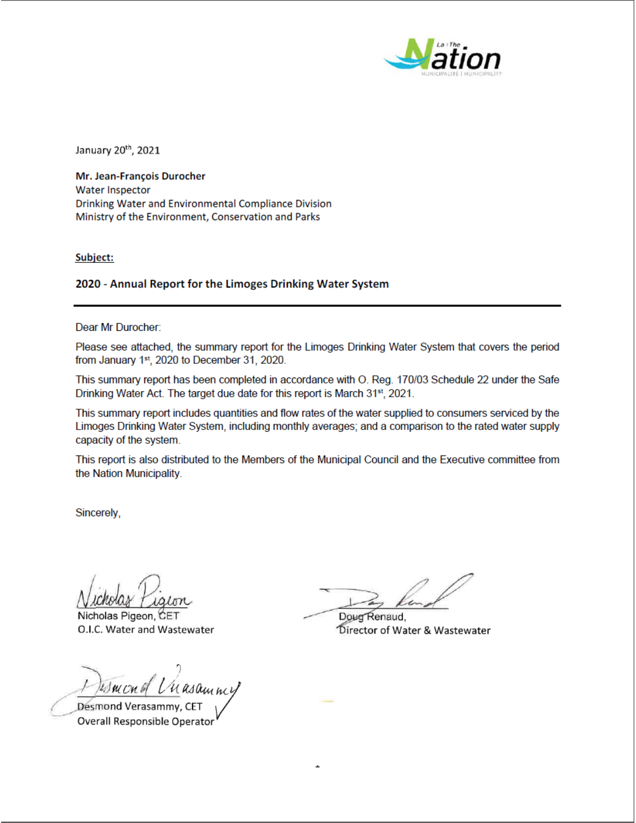

January 20<sup>th</sup>, 2021

Mr. Jean-François Durocher **Water Inspector** Drinking Water and Environmental Compliance Division Ministry of the Environment, Conservation and Parks

Subject:

## 2020 - Annual Report for the Limoges Drinking Water System

Dear Mr Durocher:

Please see attached, the summary report for the Limoges Drinking Water System that covers the period from January 1st, 2020 to December 31, 2020.

This summary report has been completed in accordance with O. Reg. 170/03 Schedule 22 under the Safe Drinking Water Act. The target due date for this report is March 31st, 2021.

This summary report includes quantities and flow rates of the water supplied to consumers serviced by the Limoges Drinking Water System, including monthly averages; and a comparison to the rated water supply capacity of the system.

This report is also distributed to the Members of the Municipal Council and the Executive committee from the Nation Municipality.

Sincerely,

Nicholas Pigeon, CET O.I.C. Water and Wastewater

Ismond Unasammy

Desmond Verasammy, CE Overall Responsible Operator

Doug Renaud, Director of Water & Wastewater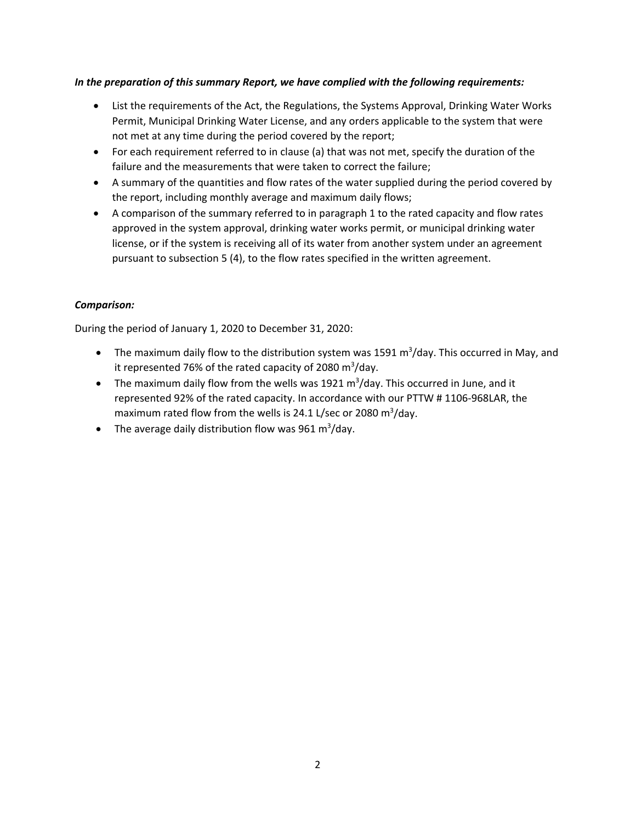## *In the preparation of this summary Report, we have complied with the following requirements:*

- List the requirements of the Act, the Regulations, the Systems Approval, Drinking Water Works Permit, Municipal Drinking Water License, and any orders applicable to the system that were not met at any time during the period covered by the report;
- For each requirement referred to in clause (a) that was not met, specify the duration of the failure and the measurements that were taken to correct the failure;
- A summary of the quantities and flow rates of the water supplied during the period covered by the report, including monthly average and maximum daily flows;
- A comparison of the summary referred to in paragraph 1 to the rated capacity and flow rates approved in the system approval, drinking water works permit, or municipal drinking water license, or if the system is receiving all of its water from another system under an agreement pursuant to subsection 5 (4), to the flow rates specified in the written agreement.

## *Comparison:*

During the period of January 1, 2020 to December 31, 2020:

- The maximum daily flow to the distribution system was 1591 m<sup>3</sup>/day. This occurred in May, and it represented 76% of the rated capacity of 2080 m<sup>3</sup>/day.
- The maximum daily flow from the wells was 1921  $m^3$ /day. This occurred in June, and it represented 92% of the rated capacity. In accordance with our PTTW # 1106‐968LAR, the maximum rated flow from the wells is 24.1 L/sec or 2080  $m^3$ /day.
- The average daily distribution flow was 961 m<sup>3</sup>/day.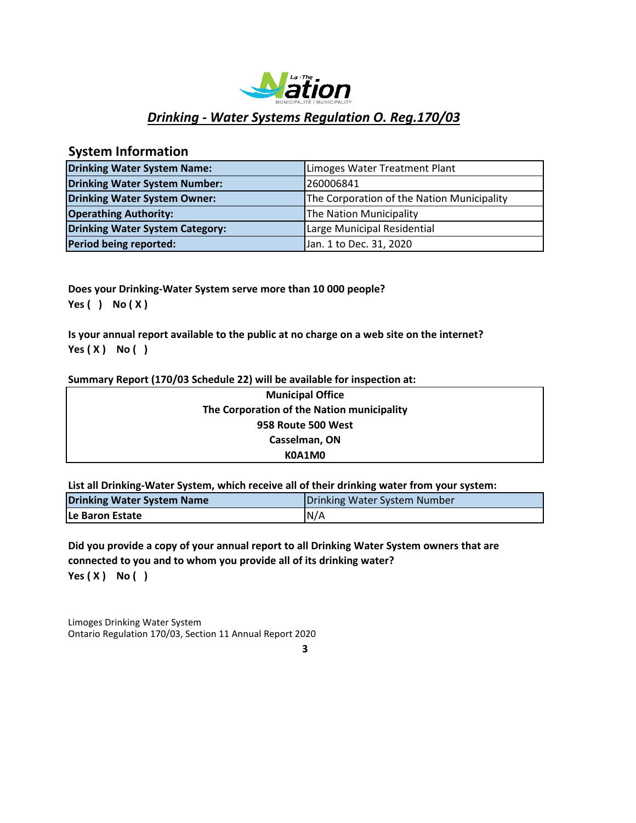

# *Drinking ‐ Water Systems Regulation O. Reg.170/03*

# **System Information**

| <b>Drinking Water System Name:</b>     | Limoges Water Treatment Plant              |
|----------------------------------------|--------------------------------------------|
| <b>Drinking Water System Number:</b>   | 260006841                                  |
| Drinking Water System Owner:           | The Corporation of the Nation Municipality |
| <b>Operathing Authority:</b>           | The Nation Municipality                    |
| <b>Drinking Water System Category:</b> | Large Municipal Residential                |
| Period being reported:                 | Jan. 1 to Dec. 31, 2020                    |

**Does your Drinking‐Water System serve more than 10 000 people? Yes ( ) No ( X )**

**Is your annual report available to the public at no charge on a web site on the internet? Yes ( X ) No ( )**

## **Summary Report (170/03 Schedule 22) will be available for inspection at:**

| <b>Municipal Office</b>                    |
|--------------------------------------------|
| The Corporation of the Nation municipality |
| 958 Route 500 West                         |
| Casselman, ON                              |
| K0A1M0                                     |

**List all Drinking‐Water System, which receive all of their drinking water from your system:**

| Drinking Water System Name | Drinking Water System Number |  |
|----------------------------|------------------------------|--|
| <b>ILe Baron Estate</b>    | N/A                          |  |

**Yes ( X ) No ( ) Did you provide a copy of your annual report to all Drinking Water System owners that are connected to you and to whom you provide all of its drinking water?**

Limoges Drinking Water System Ontario Regulation 170/03, Section 11 Annual Report 2020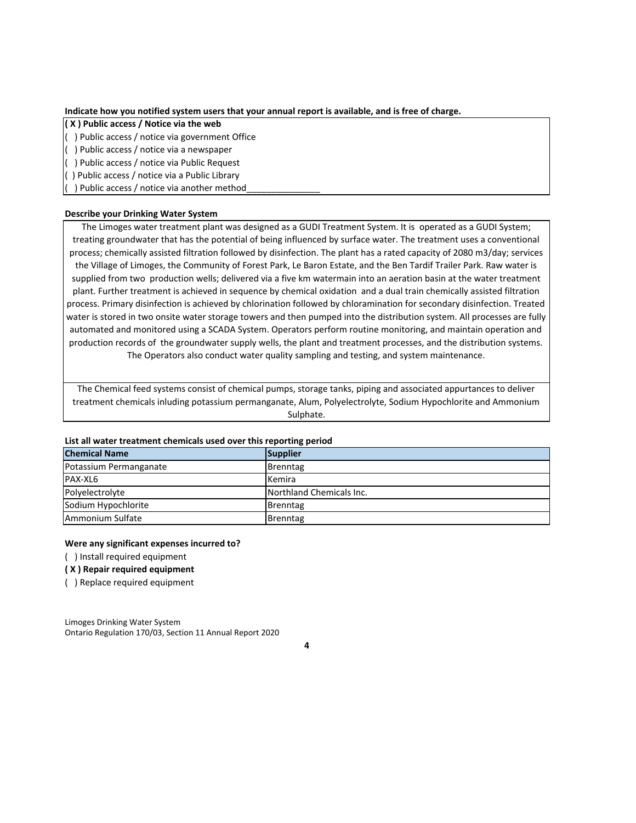**Indicate how you notified system users that your annual report is available, and is free of charge.**

**( X ) Public access / Notice via the web**

( ) Public access / notice via government Office

( ) Public access / notice via a newspaper

( ) Public access / notice via Public Request

( ) Public access / notice via a Public Library

() Public access / notice via another method\_

### **Describe your Drinking Water System**

The Limoges water treatment plant was designed as a GUDI Treatment System. It is operated as a GUDI System; treating groundwater that has the potential of being influenced by surface water. The treatment uses a conventional process; chemically assisted filtration followed by disinfection. The plant has a rated capacity of 2080 m3/day; services the Village of Limoges, the Community of Forest Park, Le Baron Estate, and the Ben Tardif Trailer Park. Raw water is supplied from two production wells; delivered via a five km watermain into an aeration basin at the water treatment plant. Further treatment is achieved in sequence by chemical oxidation and a dual train chemically assisted filtration process. Primary disinfection is achieved by chlorination followed by chloramination for secondary disinfection. Treated water is stored in two onsite water storage towers and then pumped into the distribution system. All processes are fully automated and monitored using a SCADA System. Operators perform routine monitoring, and maintain operation and production records of the groundwater supply wells, the plant and treatment processes, and the distribution systems. The Operators also conduct water quality sampling and testing, and system maintenance.

The Chemical feed systems consist of chemical pumps, storage tanks, piping and associated appurtances to deliver treatment chemicals inluding potassium permanganate, Alum, Polyelectrolyte, Sodium Hypochlorite and Ammonium Sulphate.

### **List all water treatment chemicals used over this reporting period**

| <b>Chemical Name</b>   | Supplier                 |
|------------------------|--------------------------|
| Potassium Permanganate | <b>Brenntag</b>          |
| PAX-XL6                | Kemira                   |
| Polyelectrolyte        | Northland Chemicals Inc. |
| Sodium Hypochlorite    | Brenntag                 |
| Ammonium Sulfate       | Brenntag                 |

#### **Were any significant expenses incurred to?**

( ) Install required equipment

#### **( X ) Repair required equipment**

( ) Replace required equipment

Limoges Drinking Water System Ontario Regulation 170/03, Section 11 Annual Report 2020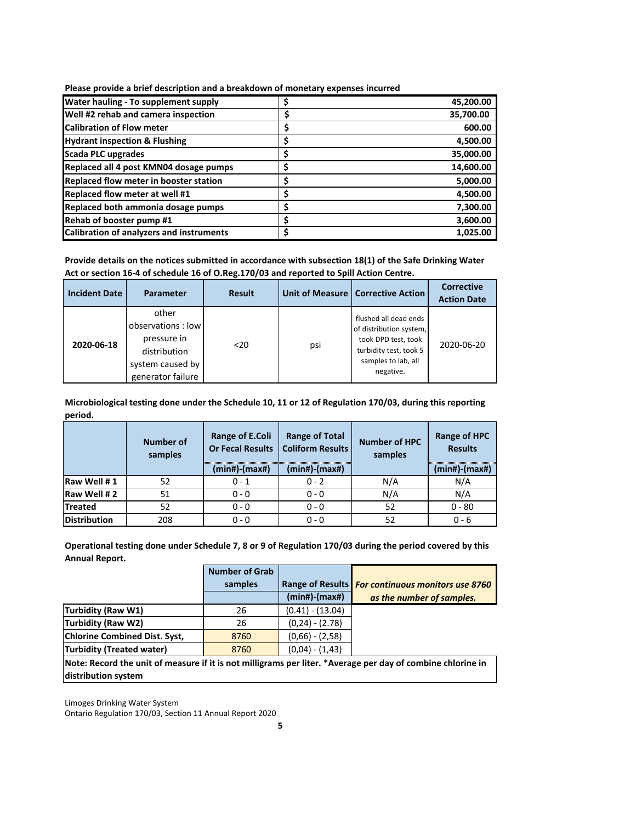| Water hauling - To supplement supply            | 45,200.00       |
|-------------------------------------------------|-----------------|
| Well #2 rehab and camera inspection             | \$<br>35,700.00 |
| <b>Calibration of Flow meter</b>                | \$<br>600.00    |
| <b>Hydrant inspection &amp; Flushing</b>        | \$<br>4,500.00  |
| Scada PLC upgrades                              | \$<br>35,000.00 |
| Replaced all 4 post KMN04 dosage pumps          | \$<br>14,600.00 |
| Replaced flow meter in booster station          | \$<br>5,000.00  |
| Replaced flow meter at well #1                  | \$<br>4,500.00  |
| Replaced both ammonia dosage pumps              | \$<br>7,300.00  |
| Rehab of booster pump #1                        | \$<br>3,600.00  |
| <b>Calibration of analyzers and instruments</b> | \$<br>1,025.00  |

**Provide details on the notices submitted in accordance with subsection 18(1) of the Safe Drinking Water Act or section 16‐4 of schedule 16 of O.Reg.170/03 and reported to Spill Action Centre.**

| <b>Incident Date</b> | Parameter                                                                                           | <b>Result</b> |     | Unit of Measure   Corrective Action                                                                                                   | <b>Corrective</b><br><b>Action Date</b> |
|----------------------|-----------------------------------------------------------------------------------------------------|---------------|-----|---------------------------------------------------------------------------------------------------------------------------------------|-----------------------------------------|
| 2020-06-18           | other<br>observations : low<br>pressure in<br>distribution<br>system caused by<br>generator failure | $20$          | psi | flushed all dead ends<br>of distribution system,<br>took DPD test, took<br>turbidity test, took 5<br>samples to lab, all<br>negative. | 2020-06-20                              |

**Microbiological testing done under the Schedule 10, 11 or 12 of Regulation 170/03, during this reporting period.**

|                     | <b>Number of</b><br>samples | Range of E.Coli<br><b>Or Fecal Results</b><br>$(min#)$ - $(max#)$ | <b>Range of Total</b><br><b>Coliform Results</b><br>$(min#)$ - $(max#)$ | <b>Number of HPC</b><br>samples | Range of HPC<br><b>Results</b><br>$(min#)$ - $(max#)$ |
|---------------------|-----------------------------|-------------------------------------------------------------------|-------------------------------------------------------------------------|---------------------------------|-------------------------------------------------------|
| Raw Well #1         | 52                          | $0 - 1$                                                           | $0 - 2$                                                                 | N/A                             | N/A                                                   |
| Raw Well #2         | 51                          | $0 - 0$                                                           | $0 - 0$                                                                 | N/A                             | N/A                                                   |
| <b>Treated</b>      | 52                          | $0 - 0$                                                           | $0 - 0$                                                                 | 52                              | $0 - 80$                                              |
| <b>Distribution</b> | 208                         | $0 - 0$                                                           | $0 - 0$                                                                 | 52                              | $0 - 6$                                               |

**Operational testing done under Schedule 7, 8 or 9 of Regulation 170/03 during the period covered by this Annual Report.**

|                                                                                                             | <b>Number of Grab</b> |                     |                                                   |
|-------------------------------------------------------------------------------------------------------------|-----------------------|---------------------|---------------------------------------------------|
|                                                                                                             | samples               |                     | Range of Results For continuous monitors use 8760 |
|                                                                                                             |                       | $(min#)$ - $(max#)$ | as the number of samples.                         |
| Turbidity (Raw W1)                                                                                          | 26                    | $(0.41) - (13.04)$  |                                                   |
| <b>Turbidity (Raw W2)</b>                                                                                   | 26                    | $(0,24) - (2.78)$   |                                                   |
| <b>Chlorine Combined Dist. Syst,</b>                                                                        | 8760                  | $(0,66) - (2,58)$   |                                                   |
| <b>Turbidity (Treated water)</b>                                                                            | 8760                  | $(0,04) - (1,43)$   |                                                   |
| Note: Pecard the unit of measure if it is not milliarams nor liter. *Average ner day of combine chlorine in |                       |                     |                                                   |

**Note: Record the unit of measure if it is not milligrams per liter. \*Average per day of combine chlorine in distribution system**

Limoges Drinking Water System

Ontario Regulation 170/03, Section 11 Annual Report 2020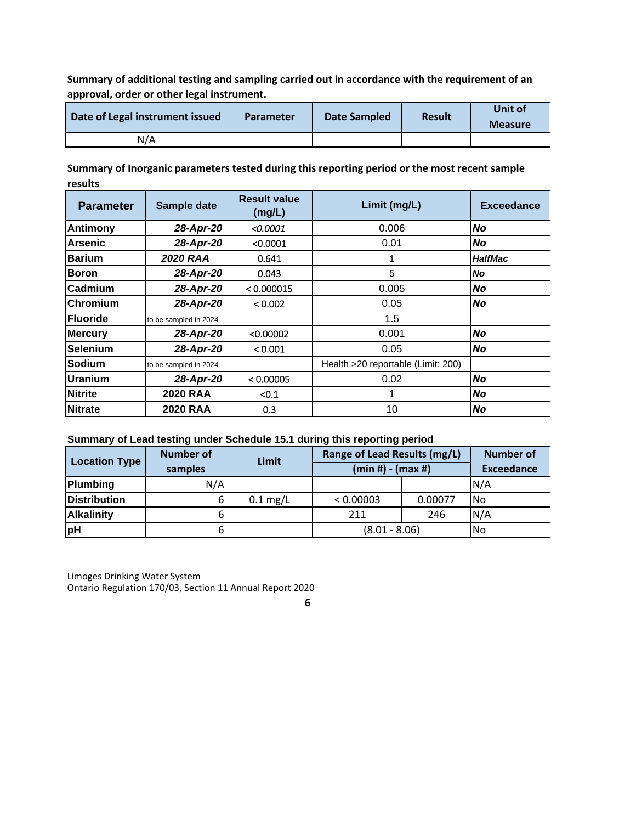**Summary of additional testing and sampling carried out in accordance with the requirement of an approval, order or other legal instrument.**

| Date of Legal instrument issued | <b>Parameter</b> | Date Sampled | <b>Result</b> | Unit of<br><b>Measure</b> |
|---------------------------------|------------------|--------------|---------------|---------------------------|
| N/A                             |                  |              |               |                           |

**Summary of Inorganic parameters tested during this reporting period or the most recent sample results**

| <b>Parameter</b> | Sample date           | <b>Result value</b><br>(mg/L) | Limit (mg/L)                       | <b>Exceedance</b> |
|------------------|-----------------------|-------------------------------|------------------------------------|-------------------|
| <b>Antimony</b>  | 28-Apr-20             | < 0.0001                      | 0.006                              | No                |
| Arsenic          | 28-Apr-20             | < 0.0001                      | 0.01                               | <b>No</b>         |
| <b>Barium</b>    | <b>2020 RAA</b>       | 0.641                         |                                    | <b>HalfMac</b>    |
| <b>Boron</b>     | 28-Apr-20             | 0.043                         | 5                                  | <b>No</b>         |
| <b>Cadmium</b>   | 28-Apr-20             | < 0.000015                    | 0.005                              | No                |
| Chromium         | 28-Apr-20             | < 0.002                       | 0.05                               | No                |
| <b>Fluoride</b>  | to be sampled in 2024 |                               | 1.5                                |                   |
| <b>Mercury</b>   | 28-Apr-20             | < 0.00002                     | 0.001<br>No                        |                   |
| <b>Selenium</b>  | 28-Apr-20             | < 0.001                       | 0.05                               | No                |
| Sodium           | to be sampled in 2024 |                               | Health >20 reportable (Limit: 200) |                   |
| Uranium          | 28-Apr-20             | < 0.00005                     | 0.02                               | No                |
| <b>Nitrite</b>   | <b>2020 RAA</b>       | < 0.1                         |                                    | No                |
| <b>Nitrate</b>   | <b>2020 RAA</b>       | 0.3                           | 10                                 | No                |

## **Summary of Lead testing under Schedule 15.1 during this reporting period**

| <b>Location Type</b> | <b>Number of</b><br>samples | Limit              | Range of Lead Results (mg/L)<br>$(min #) - (max #)$ |         | <b>Number of</b><br><b>Exceedance</b> |
|----------------------|-----------------------------|--------------------|-----------------------------------------------------|---------|---------------------------------------|
| <b>Plumbing</b>      | N/A                         |                    |                                                     |         | N/A                                   |
| <b>Distribution</b>  | ы                           | $0.1 \text{ mg/L}$ | < 0.00003                                           | 0.00077 | l No                                  |
| <b>Alkalinity</b>    |                             |                    | 211                                                 | 246     | N/A                                   |
| pH                   |                             |                    | $(8.01 - 8.06)$                                     |         | <b>No</b>                             |

Limoges Drinking Water System Ontario Regulation 170/03, Section 11 Annual Report 2020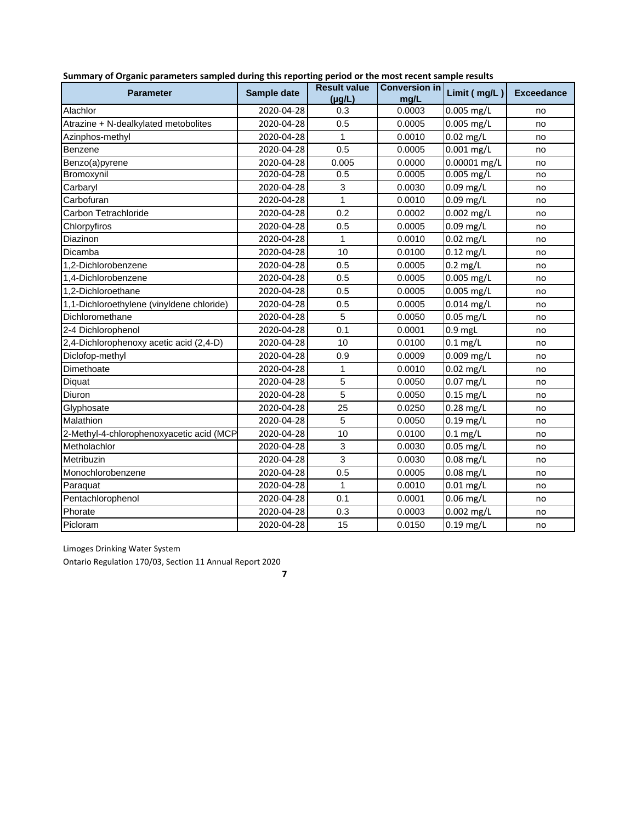| <b>Parameter</b>                          | Sample date | <b>Result value</b><br>$(\mu q/L)$ | Conversion in<br>mg/L | Limit (mg/L) | <b>Exceedance</b> |
|-------------------------------------------|-------------|------------------------------------|-----------------------|--------------|-------------------|
| Alachlor                                  | 2020-04-28  | 0.3                                | 0.0003                | $0.005$ mg/L | no                |
| Atrazine + N-dealkylated metobolites      | 2020-04-28  | 0.5                                | 0.0005                | 0.005 mg/L   | no                |
| Azinphos-methyl                           | 2020-04-28  | 1                                  | 0.0010                | $0.02$ mg/L  | no                |
| Benzene                                   | 2020-04-28  | 0.5                                | 0.0005                | $0.001$ mg/L | no                |
| Benzo(a)pyrene                            | 2020-04-28  | 0.005                              | 0.0000                | 0.00001 mg/L | no                |
| Bromoxynil                                | 2020-04-28  | 0.5                                | 0.0005                | $0.005$ mg/L | no                |
| Carbaryl                                  | 2020-04-28  | 3                                  | 0.0030                | $0.09$ mg/L  | no                |
| Carbofuran                                | 2020-04-28  | 1                                  | 0.0010                | $0.09$ mg/L  | no                |
| Carbon Tetrachloride                      | 2020-04-28  | 0.2                                | 0.0002                | $0.002$ mg/L | no                |
| Chlorpyfiros                              | 2020-04-28  | 0.5                                | 0.0005                | $0.09$ mg/L  | no                |
| Diazinon                                  | 2020-04-28  | 1                                  | 0.0010                | $0.02$ mg/L  | no                |
| Dicamba                                   | 2020-04-28  | 10                                 | 0.0100                | $0.12$ mg/L  | no                |
| 1.2-Dichlorobenzene                       | 2020-04-28  | 0.5                                | 0.0005                | $0.2$ mg/L   | no                |
| 1,4-Dichlorobenzene                       | 2020-04-28  | 0.5                                | 0.0005                | 0.005 mg/L   | no                |
| 1,2-Dichloroethane                        | 2020-04-28  | 0.5                                | 0.0005                | $0.005$ mg/L | no                |
| 1,1-Dichloroethylene (vinyldene chloride) | 2020-04-28  | 0.5                                | 0.0005                | 0.014 mg/L   | no                |
| Dichloromethane                           | 2020-04-28  | 5                                  | 0.0050                | $0.05$ mg/L  | no                |
| 2-4 Dichlorophenol                        | 2020-04-28  | 0.1                                | 0.0001                | $0.9$ mgL    | no                |
| 2,4-Dichlorophenoxy acetic acid (2,4-D)   | 2020-04-28  | 10                                 | 0.0100                | $0.1$ mg/L   | no                |
| Diclofop-methyl                           | 2020-04-28  | 0.9                                | 0.0009                | 0.009 mg/L   | no                |
| Dimethoate                                | 2020-04-28  | 1                                  | 0.0010                | $0.02$ mg/L  | no                |
| Diquat                                    | 2020-04-28  | 5                                  | 0.0050                | $0.07$ mg/L  | no                |
| Diuron                                    | 2020-04-28  | $\overline{5}$                     | 0.0050                | $0.15$ mg/L  | no                |
| Glyphosate                                | 2020-04-28  | 25                                 | 0.0250                | $0.28$ mg/L  | no                |
| Malathion                                 | 2020-04-28  | 5                                  | 0.0050                | $0.19$ mg/L  | no                |
| 2-Methyl-4-chlorophenoxyacetic acid (MCP  | 2020-04-28  | 10                                 | 0.0100                | $0.1$ mg/L   | no                |
| Metholachlor                              | 2020-04-28  | 3                                  | 0.0030                | $0.05$ mg/L  | no                |
| Metribuzin                                | 2020-04-28  | 3                                  | 0.0030                | $0.08$ mg/L  | no                |
| Monochlorobenzene                         | 2020-04-28  | 0.5                                | 0.0005                | $0.08$ mg/L  | no                |
| Paraquat                                  | 2020-04-28  | 1                                  | 0.0010                | $0.01$ mg/L  | no                |
| Pentachlorophenol                         | 2020-04-28  | 0.1                                | 0.0001                | $0.06$ mg/L  | no                |
| Phorate                                   | 2020-04-28  | 0.3                                | 0.0003                | 0.002 mg/L   | no                |
| Picloram                                  | 2020-04-28  | 15                                 | 0.0150                | $0.19$ mg/L  | no                |

Limoges Drinking Water System

Ontario Regulation 170/03, Section 11 Annual Report 2020